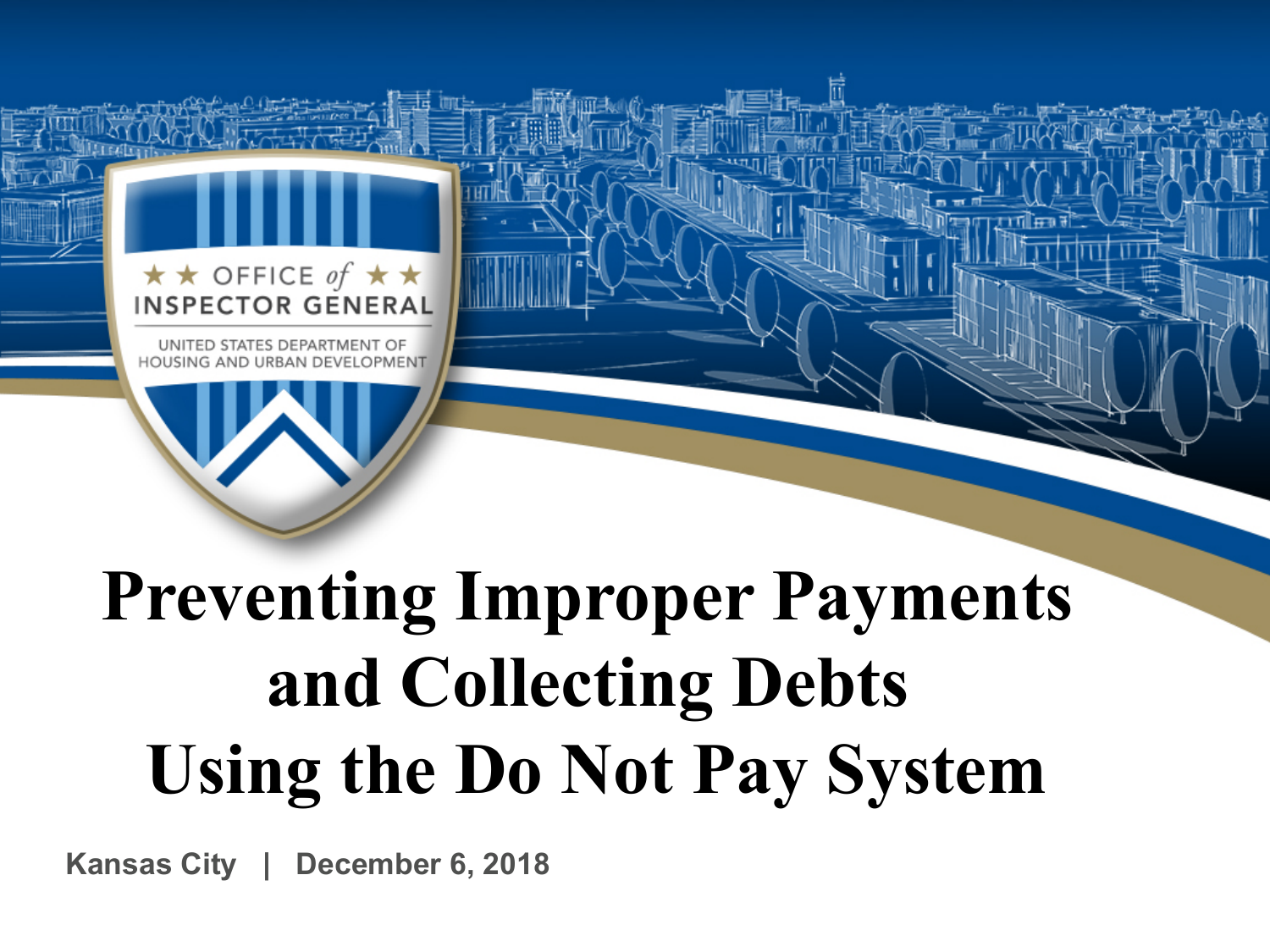

UNITED STATES DEPARTMENT OF HOUSING AND URBAN DEVELOPMENT

## **Preventing Improper Payments and Collecting Debts Using the Do Not Pay System**

**Kansas City | December 6, 2018**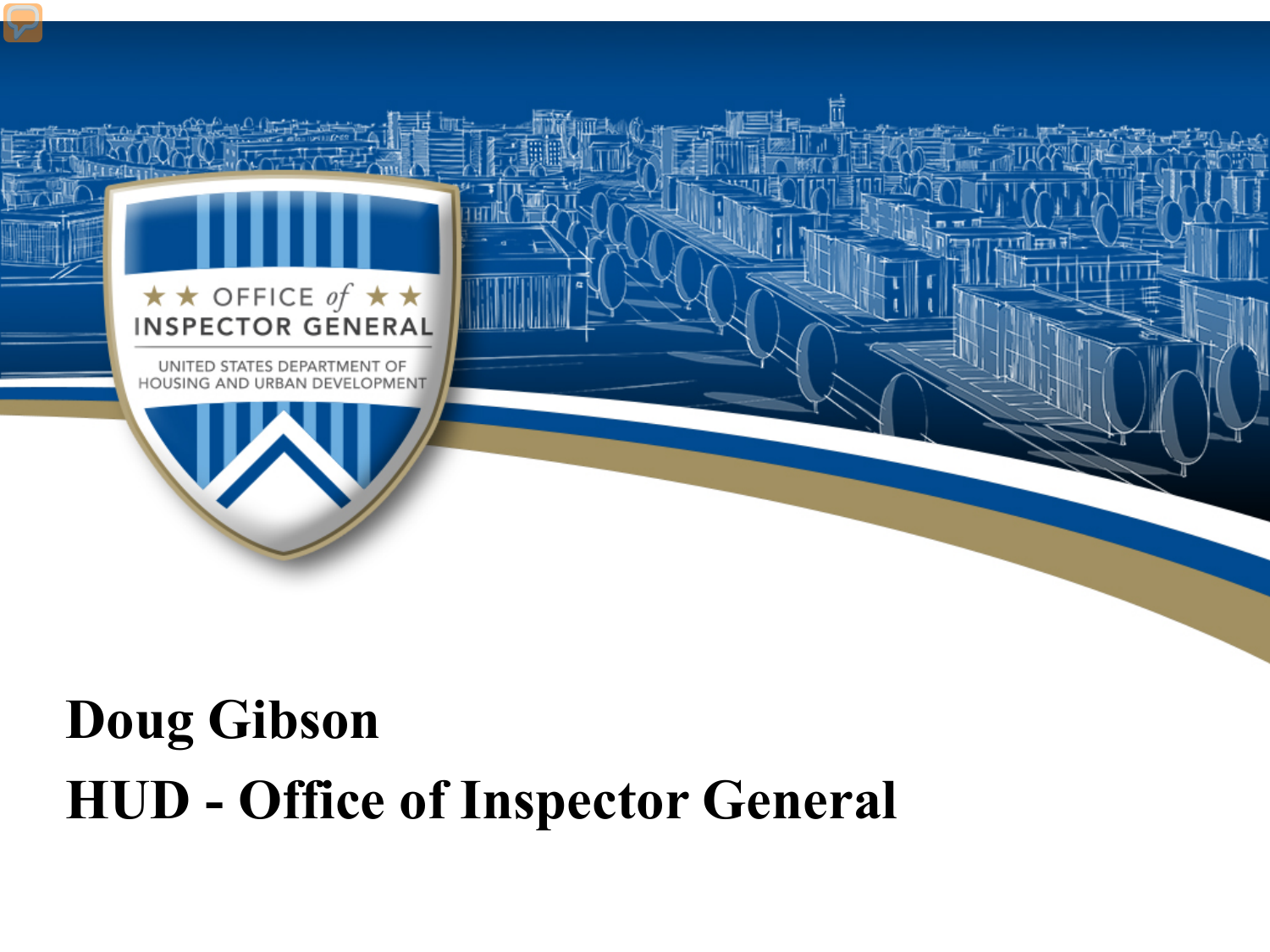

## **Doug Gibson HUD - Office of Inspector General**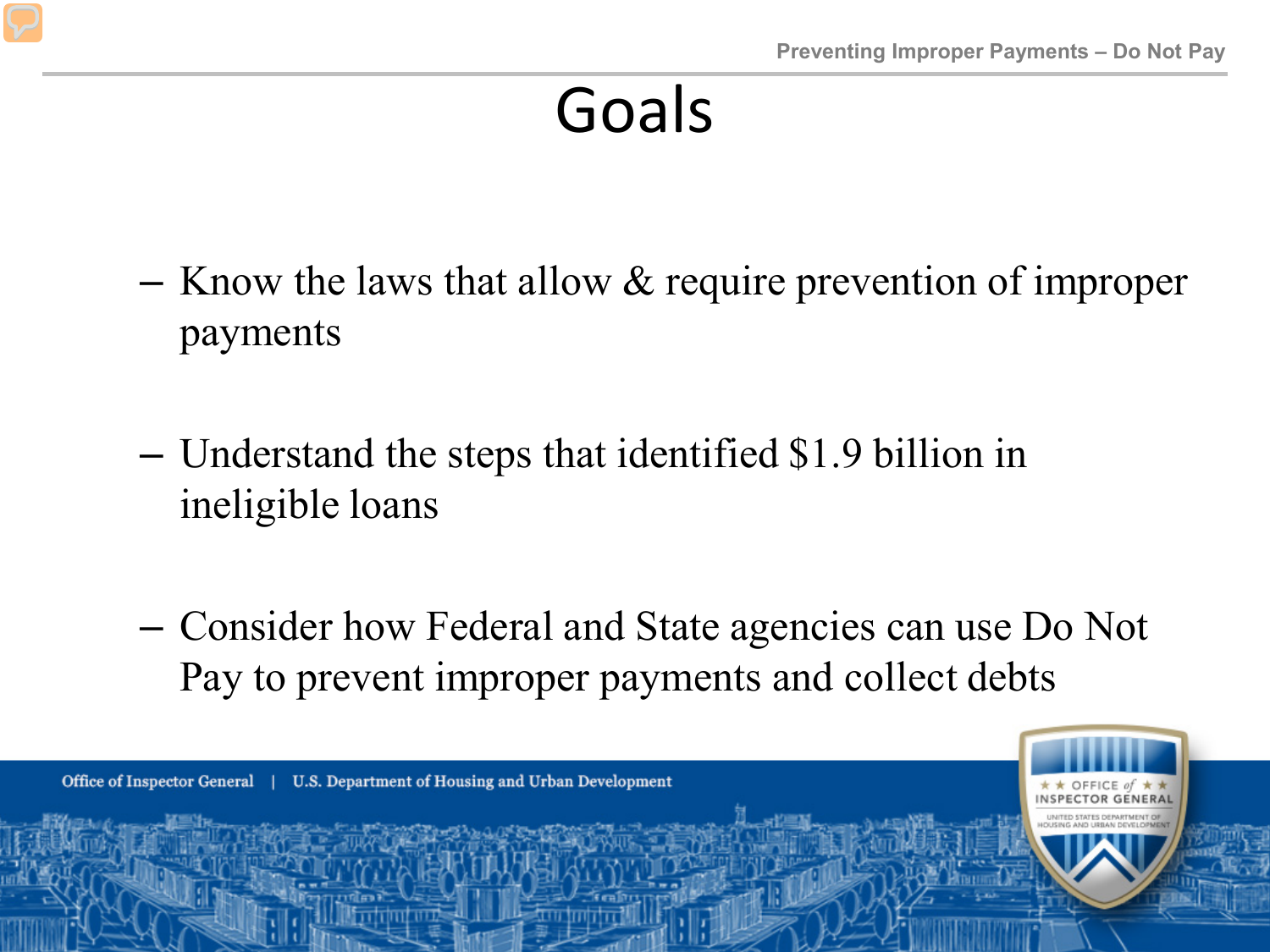### Goals

- $-$  Know the laws that allow  $\&$  require prevention of improper payments
- Understand the steps that identified \$1.9 billion in ineligible loans
- Consider how Federal and State agencies can use Do Not Pay to prevent improper payments and collect debts

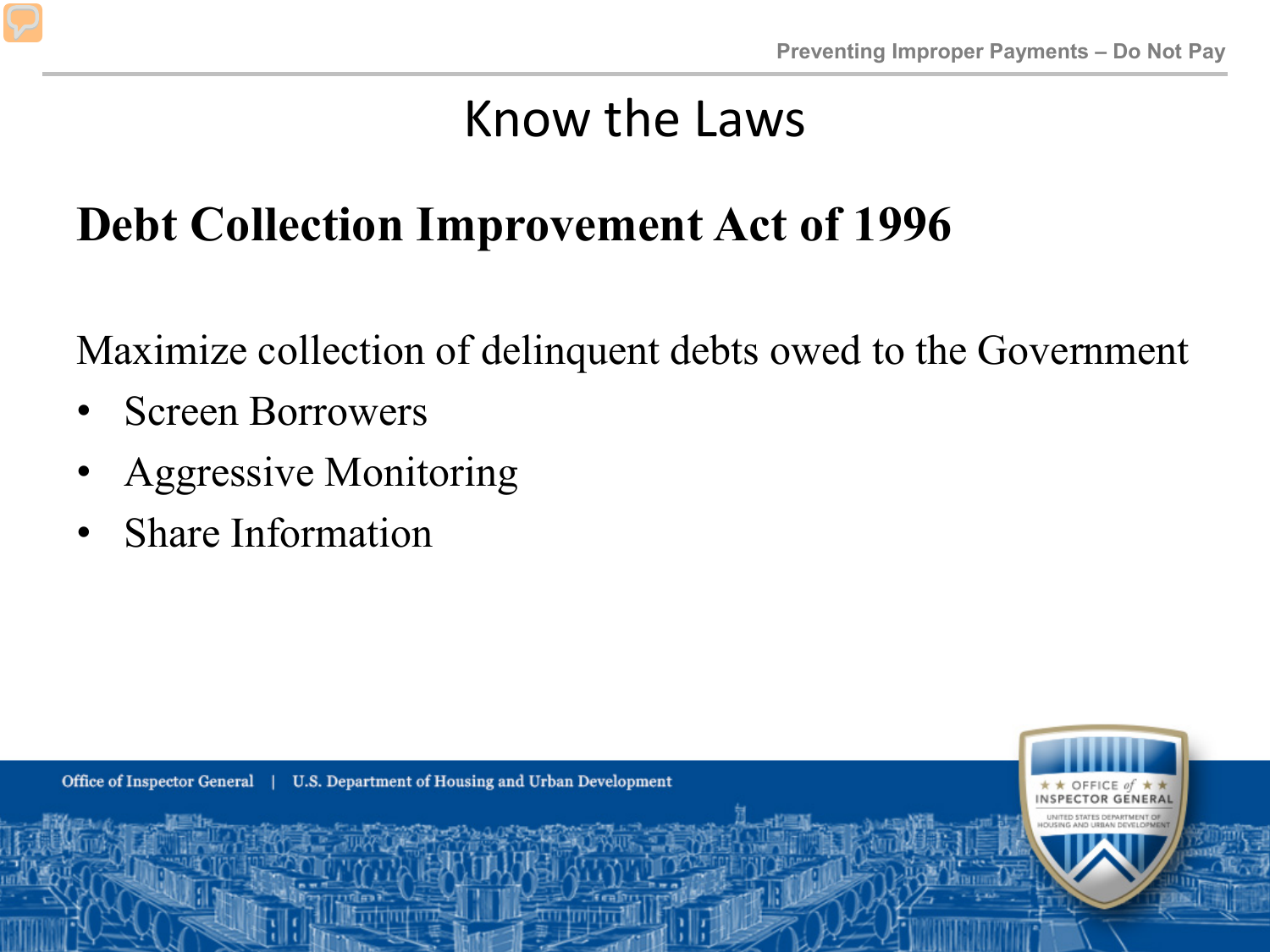#### **Debt Collection Improvement Act of 1996**

Maximize collection of delinquent debts owed to the Government

- Screen Borrowers
- Aggressive Monitoring
- Share Information

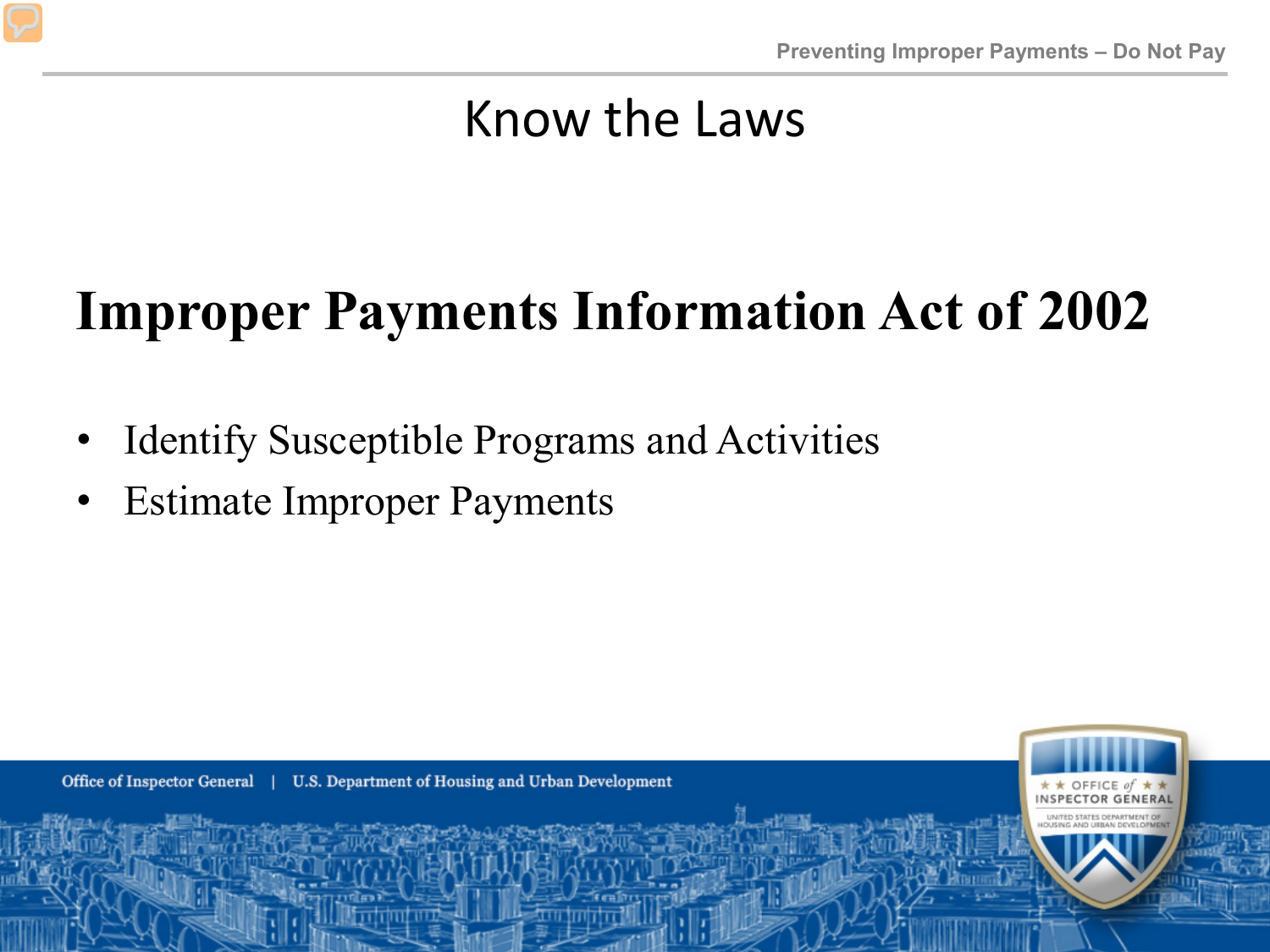#### $\bf v$ m **Improper Payments Information Act of 2002**

- Identify Susceptible Programs and Activities
- Estimate Improper Payments

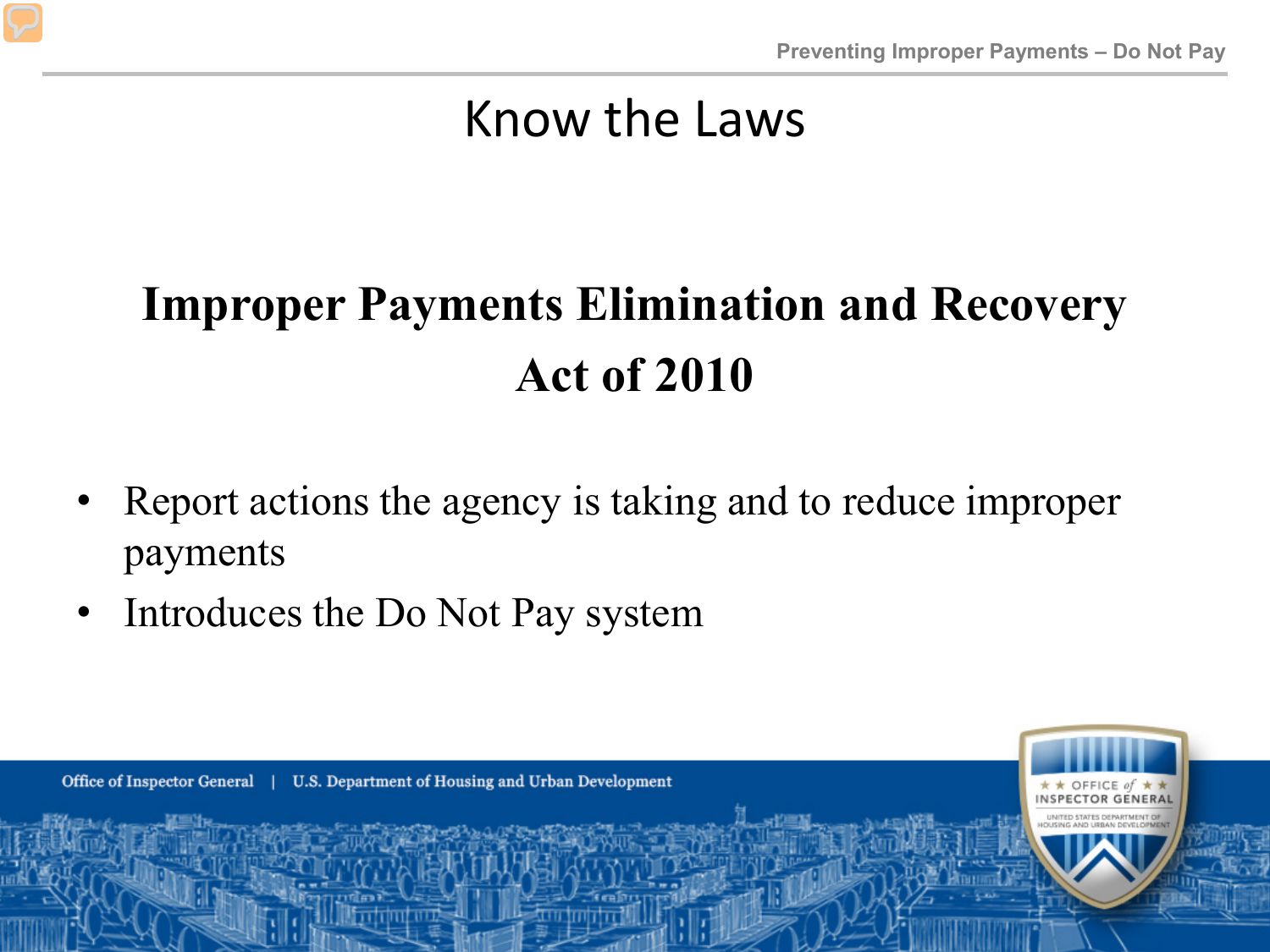#### R - 58 **Improper Payments Elimination and Recovery**  $\mathcal{L}$ **Act of 2010**

- anc • Report actions the agency is taking and to reduce improper payments
- Introduces the Do Not Pay system

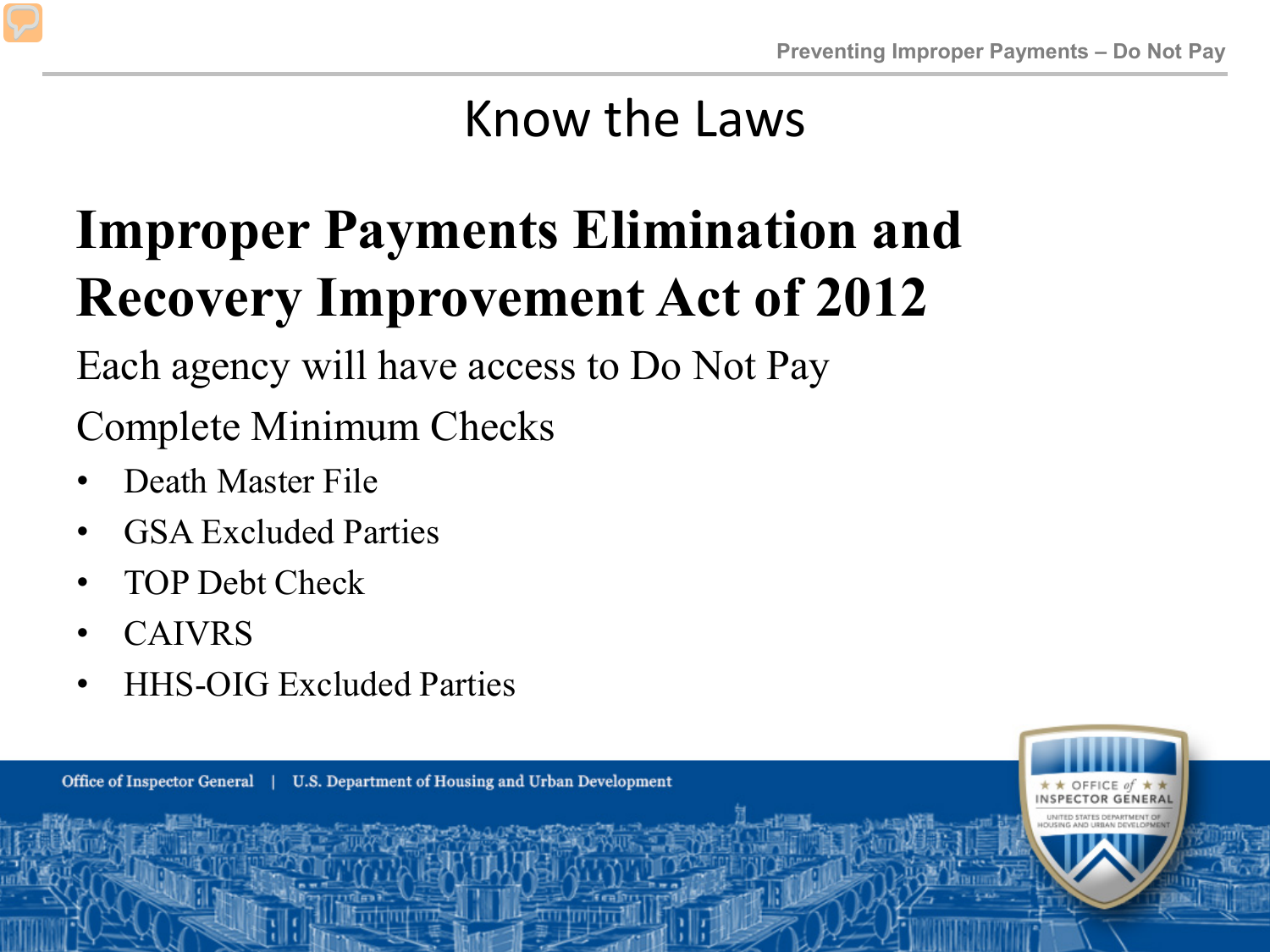#### $\mathbf{r}$ **Recovery Improvement Act of 2012 Improper Payments Elimination and**

B - 55 Each agency will have access to Do Not Pay

Complete Minimum Checks

- Death Master File
- GSA Excluded Parties
- TOP Debt Check
- CAIVRS
- HHS-OIG Excluded Parties

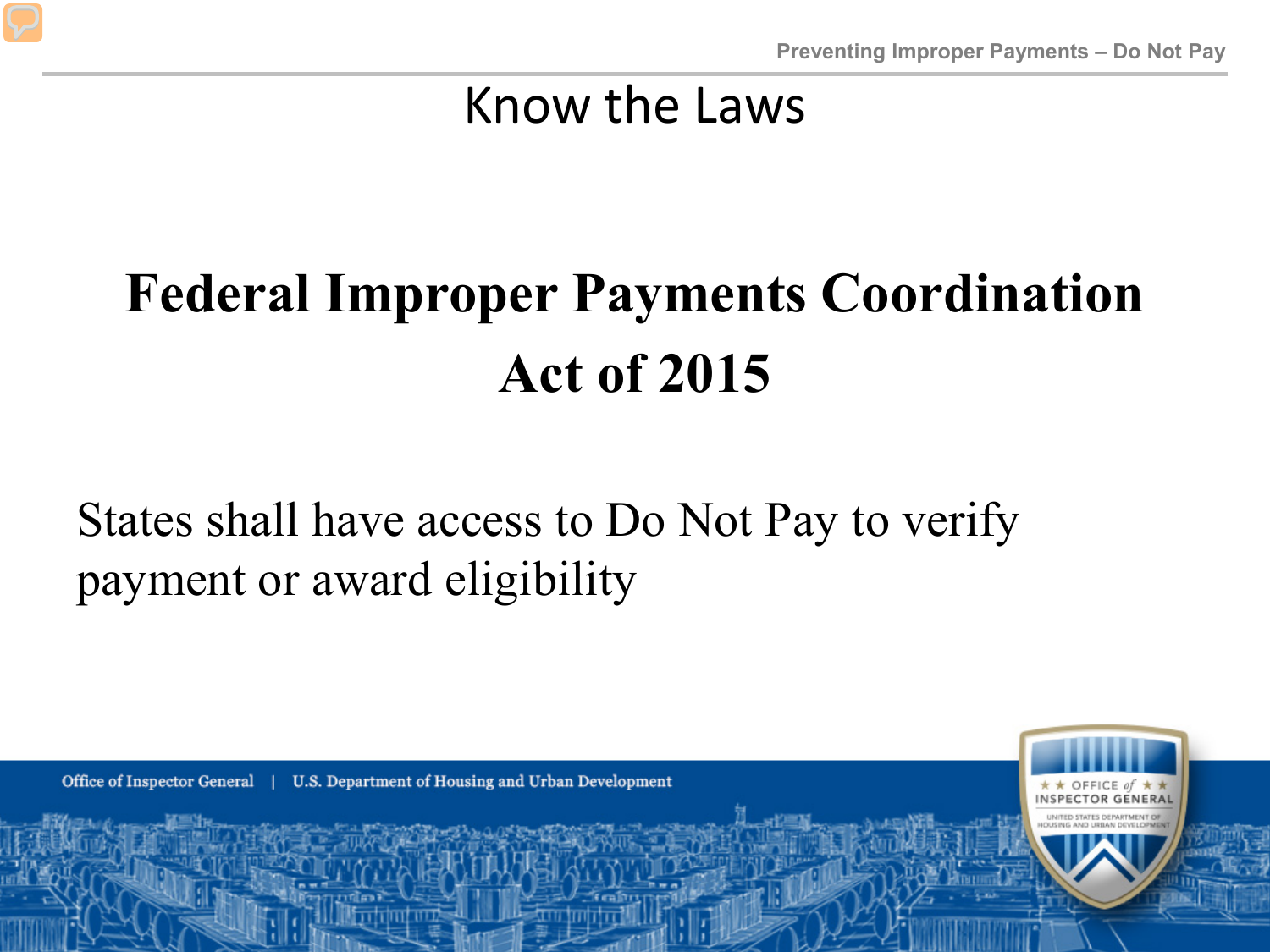#### $\mathbf{m}$ **Federal Improper Payments Coordination Act of 2015**

 $\overline{A}$ States shall have access to Do Not Pay to verify payment or award eligibility

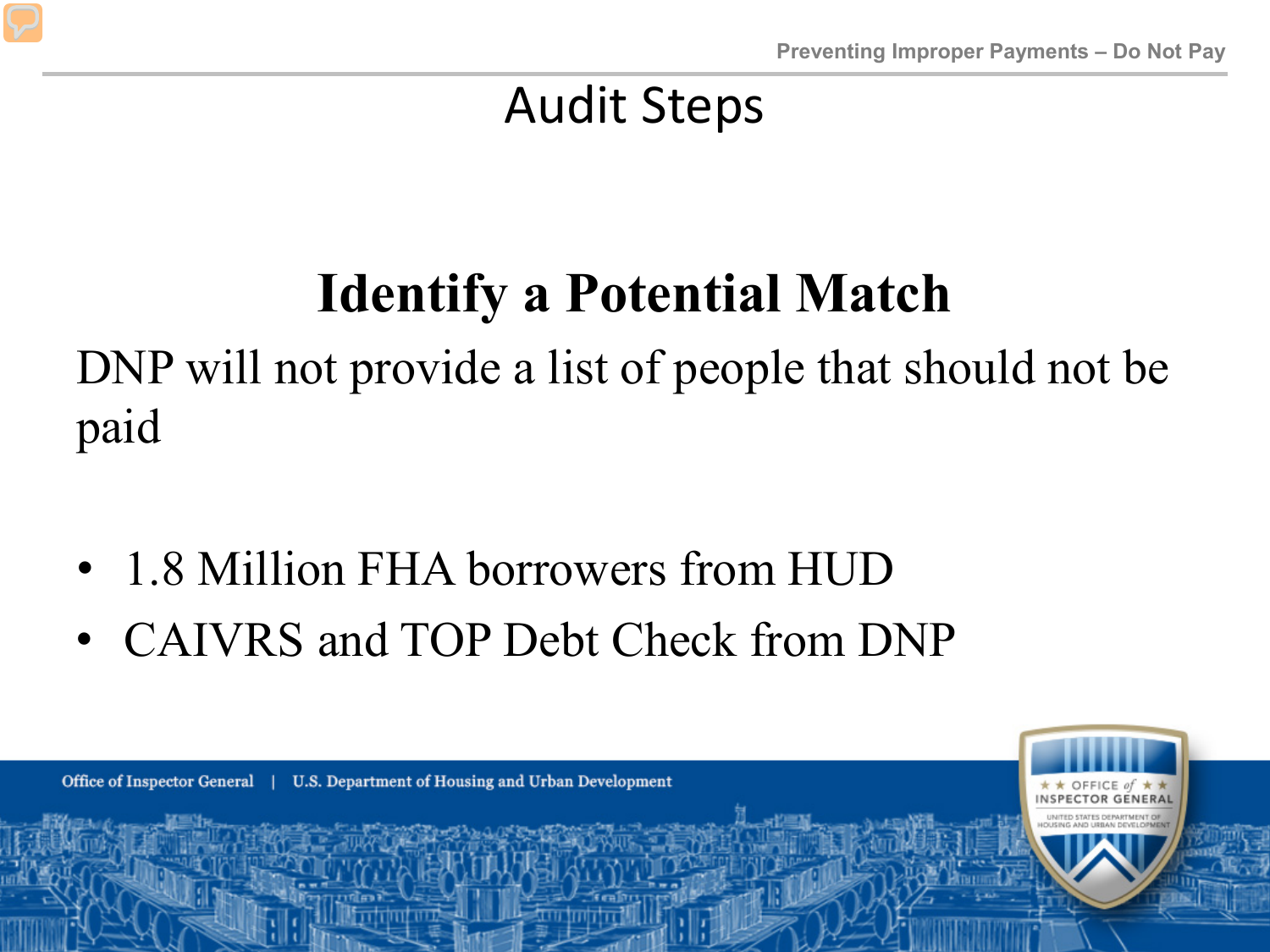#### an f **Identify a Potential Match**

DNP will not provide a list of people that should not be paid

- 1.8 Million FHA borrowers from HUD
- CAIVRS and TOP Debt Check from DNP

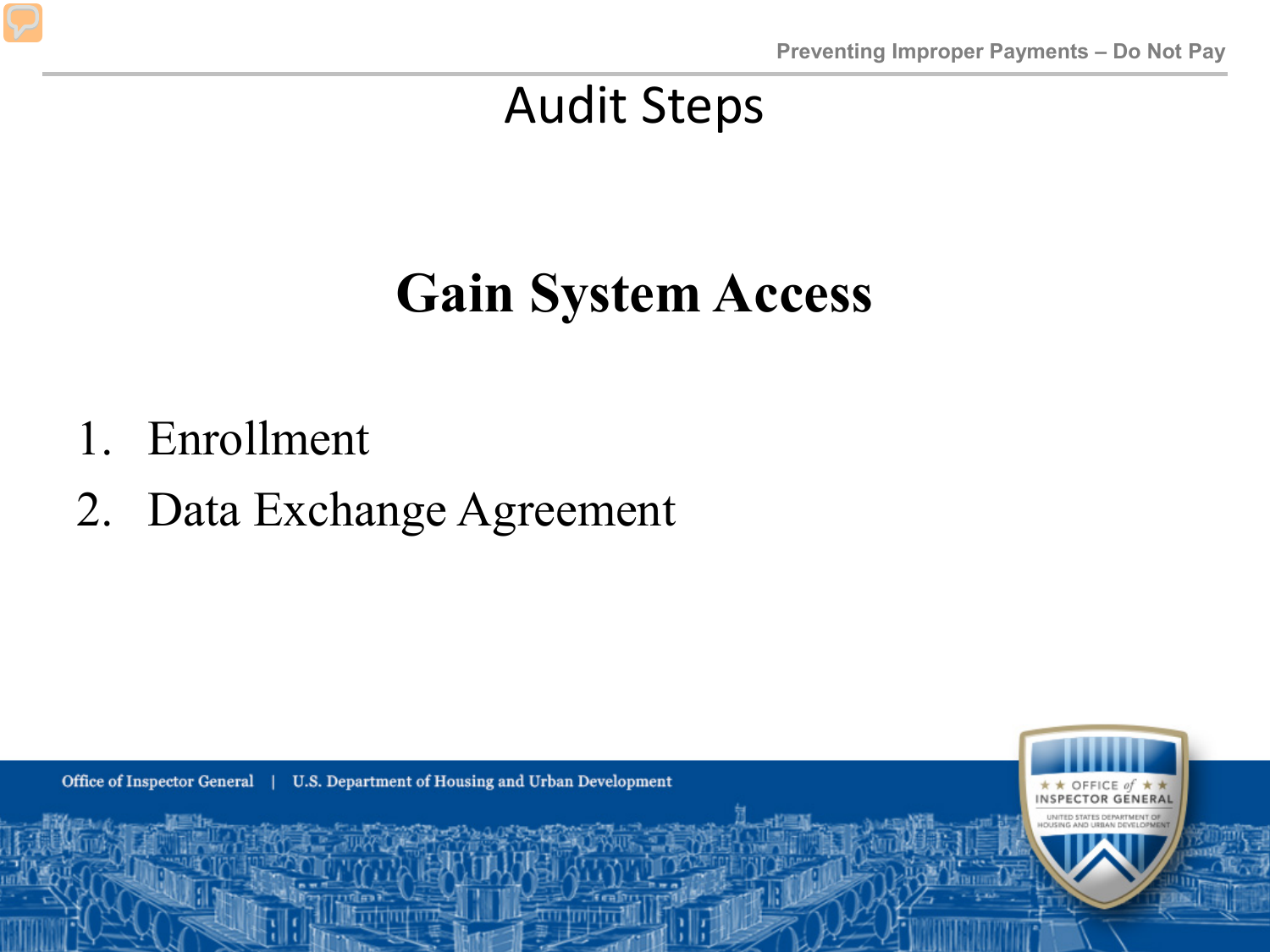#### $\overline{1}$ **Gain System Access**

- 1. Enrollment
- 2. Data Exchange Agreement

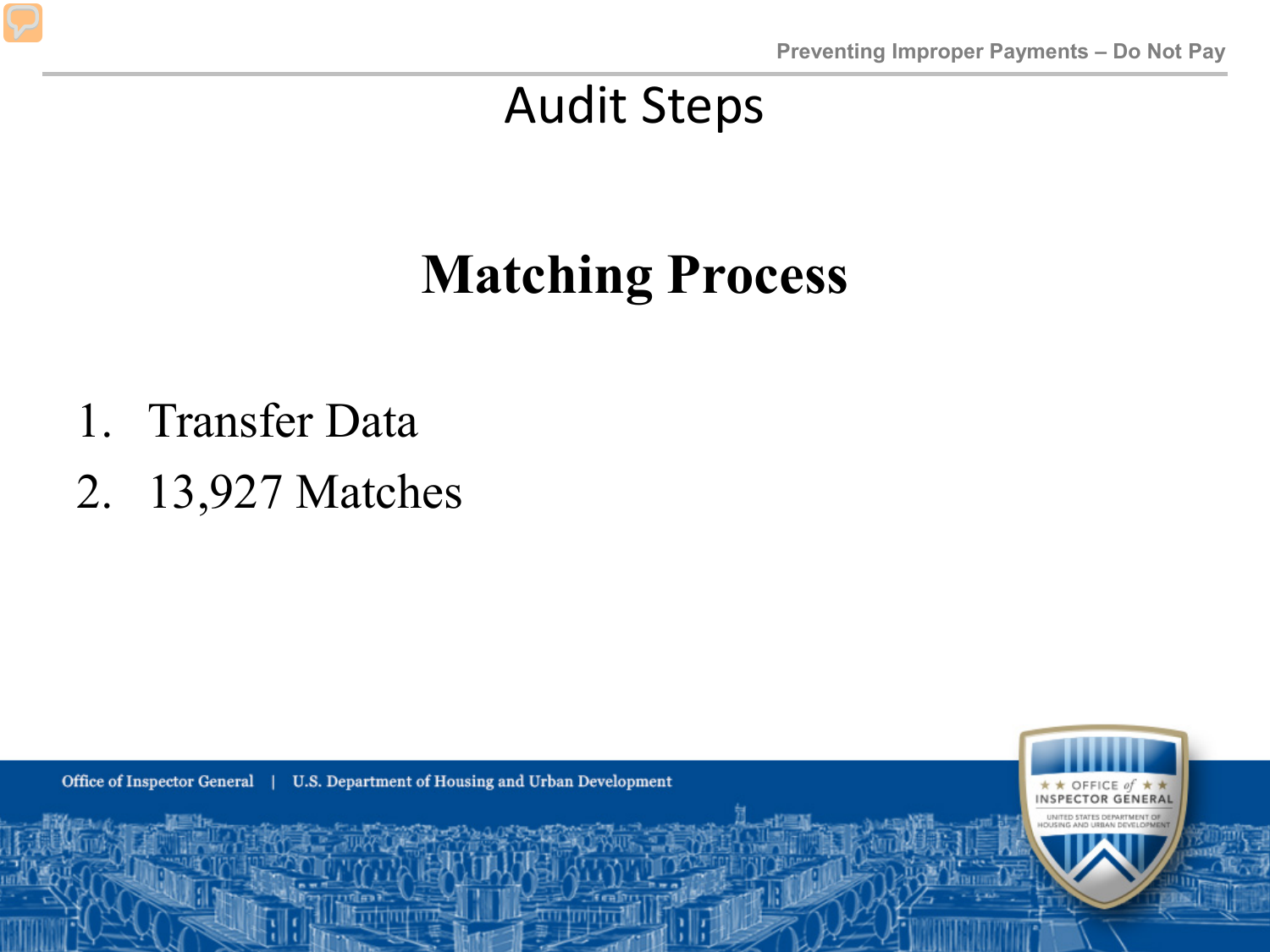### **Matching Process**

- 1. Transfer Data
- 2. 13,927 Matches

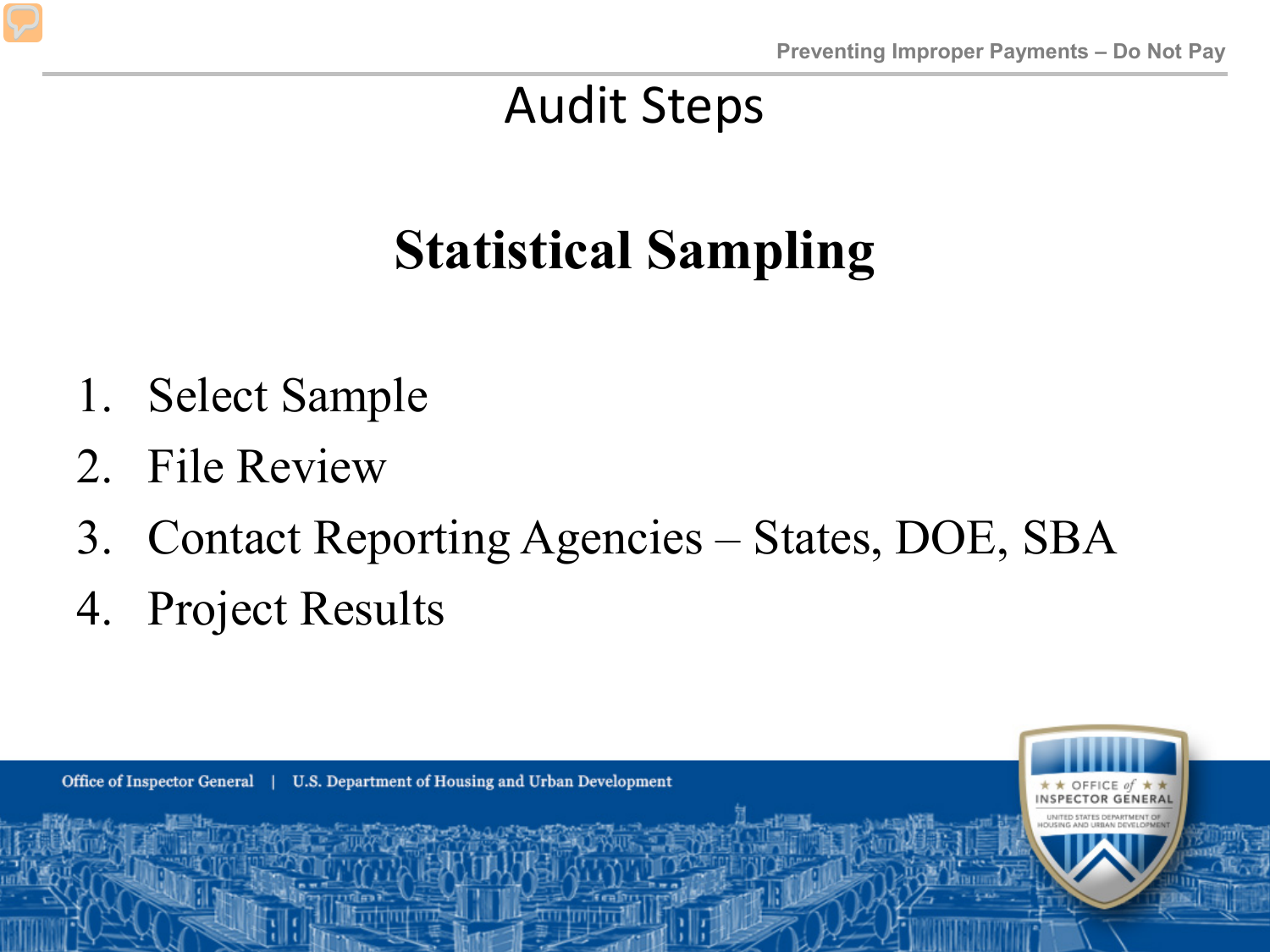### **Statistical Sampling**

- 1. Select Sample
- 2. File Review
- 3. Contact Reporting Agencies States, DOE, SBA
- 4. Project Results

Office of Inspector General | U.S. Department of Housing and Urban Development OFFICE of  $\star$ **NSPECTOR GENERAL**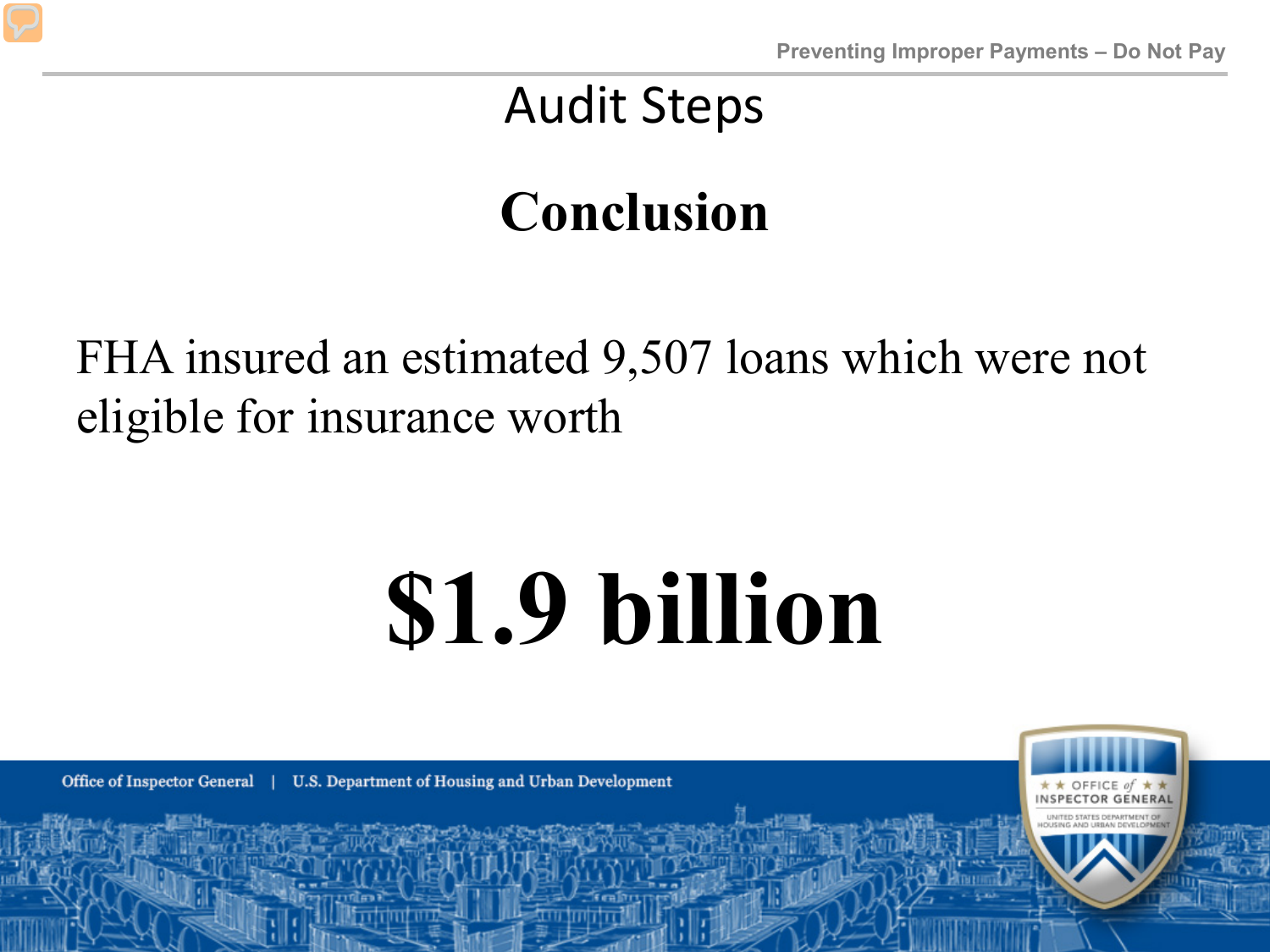### **Conclusion**

FHA insured an estimated 9,507 loans which were not eligible for insurance worth

# **\$1.9 billion**

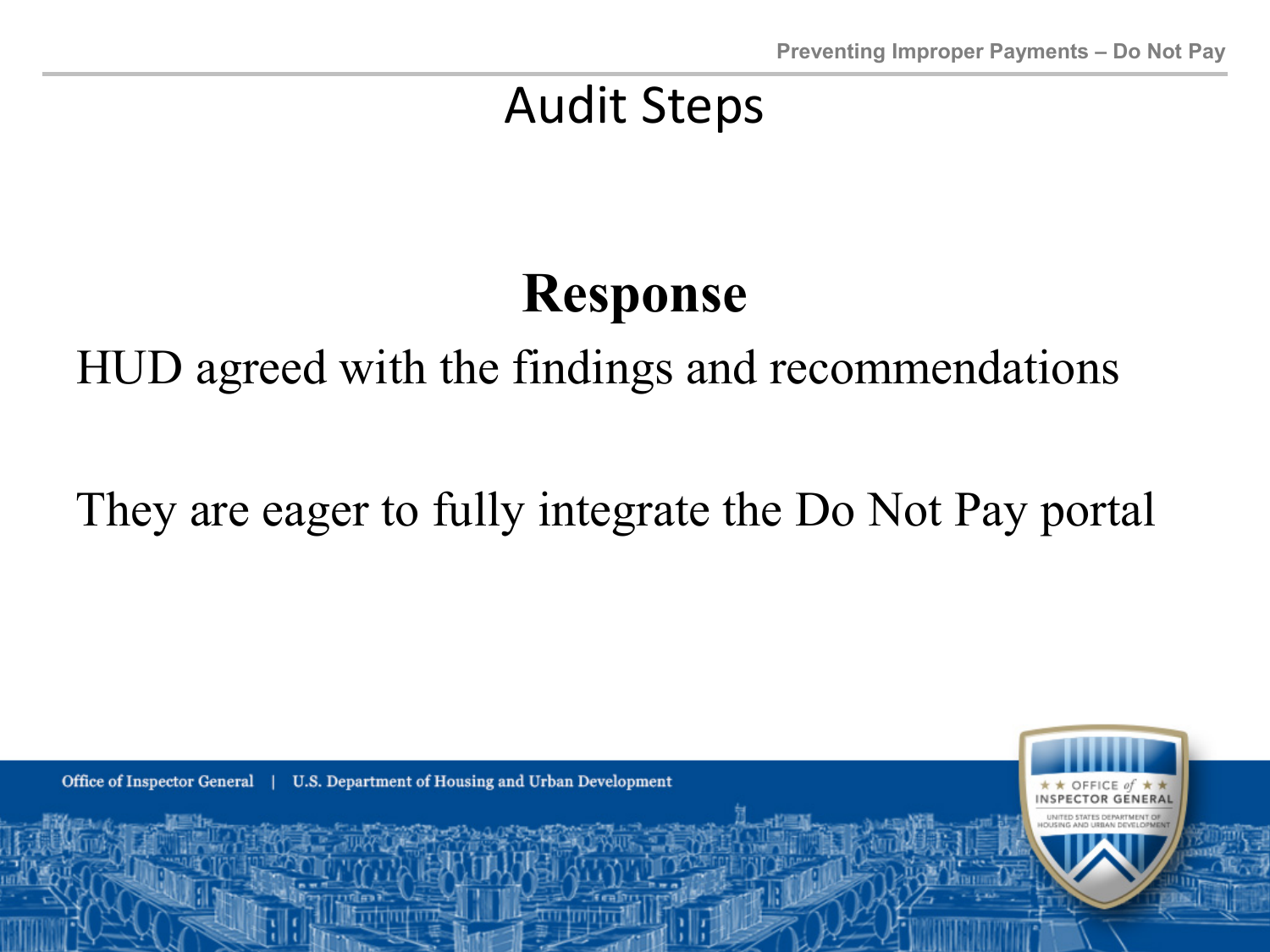### **Response**

#### HUD agreed with the findings and recommendations

#### the  $\epsilon$ They are eager to fully integrate the Do Not Pay portal

U.S. Department of Housing and Urban Development Office of Inspector General |

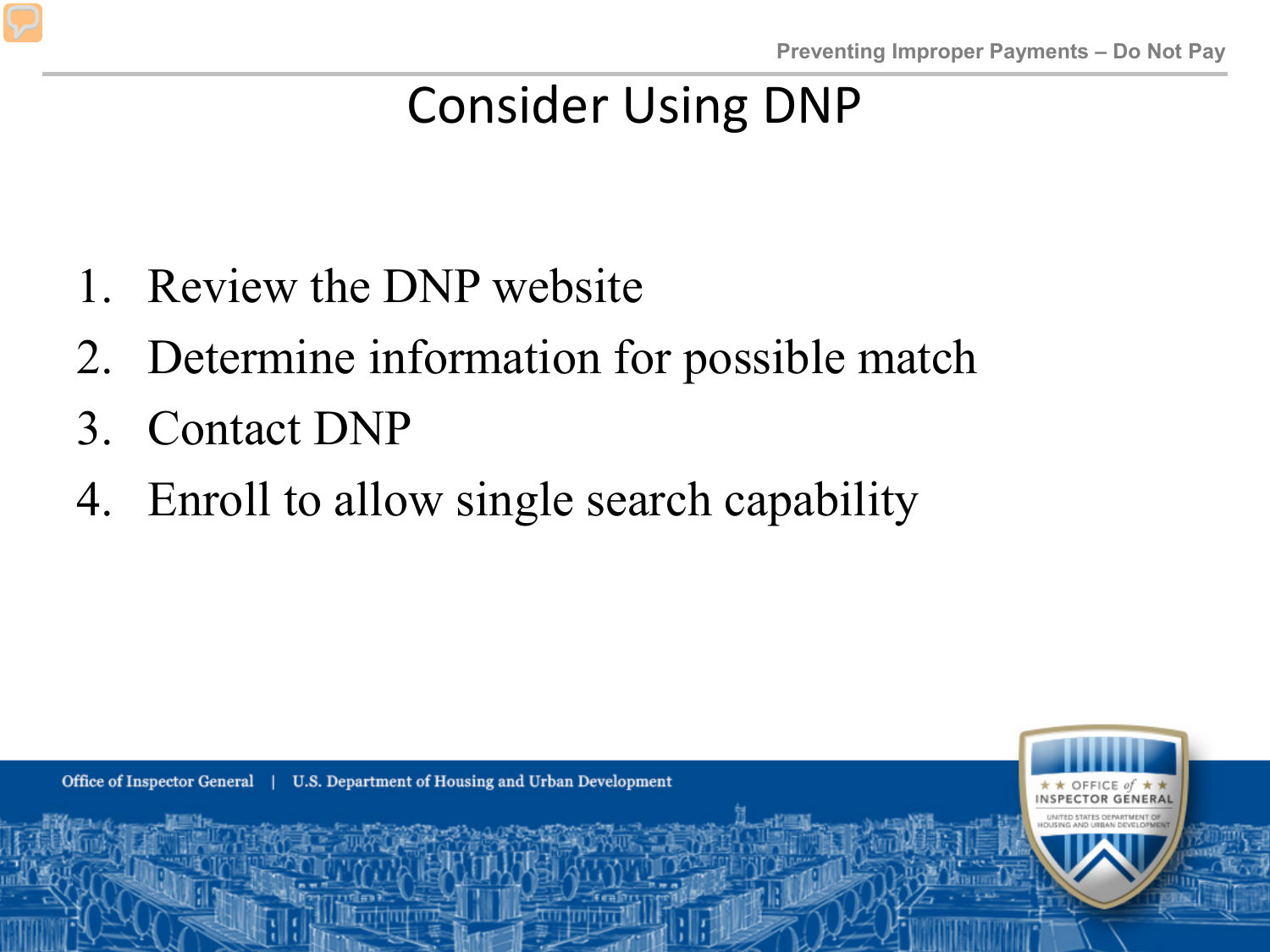#### Consider Using DNP

- 1. Review the DNP website  $\overline{\phantom{a}}$  - 161
- 2. Determine information for possible match
- 3. Contact DNP
- car 4. Enroll to allow single search capability

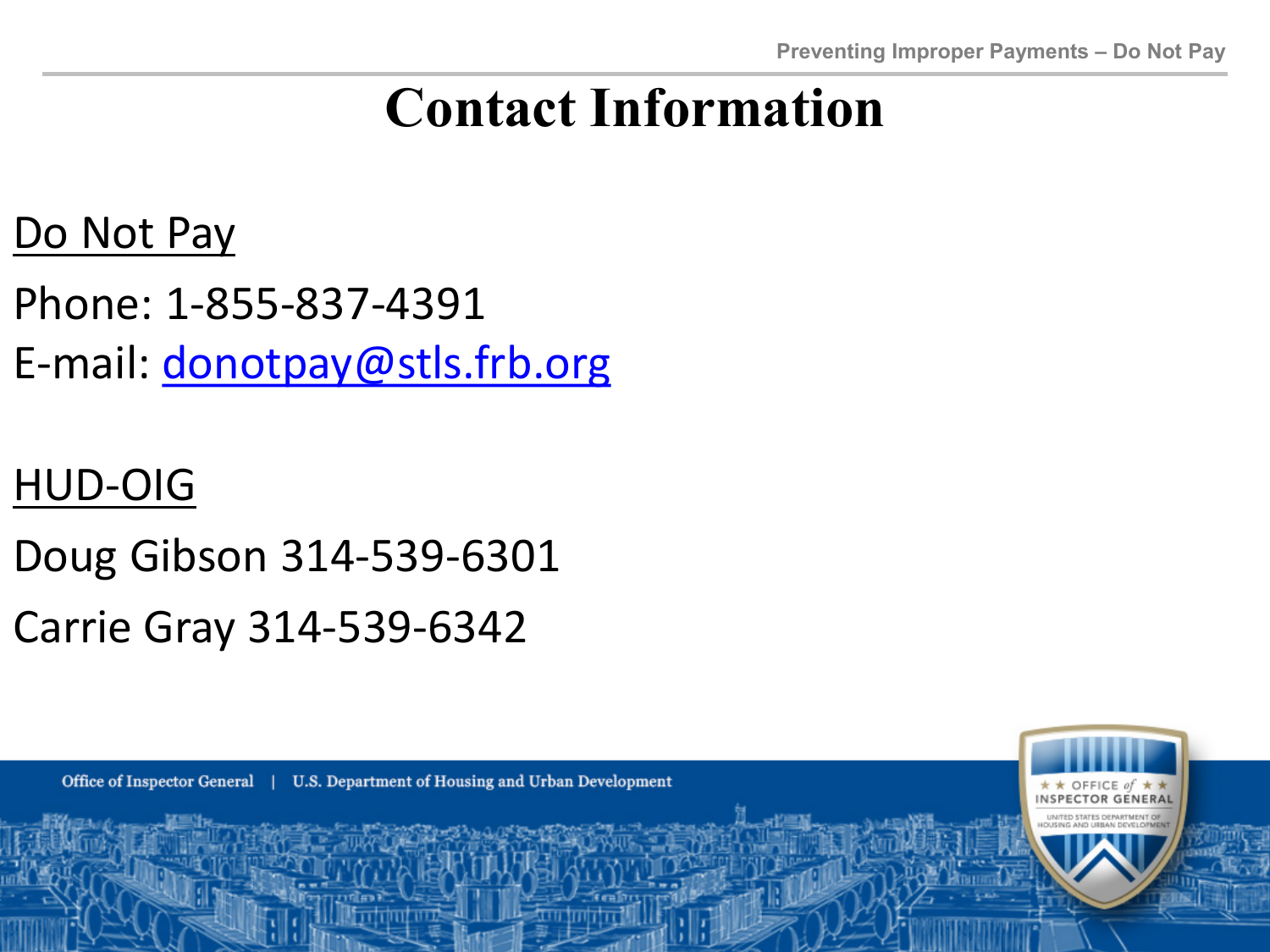### **Contact Information**

#### Do Not Pay

- $\overline{A}$ Phone: 1-855-837-4391
- E-mail: [donotpay@stls.frb.org](mailto:donotpay@stls.frb.org)

#### HUD-OIG

- Doug Gibson 314-539-6301
- Carrie Gray 314-539-6342

U.S. Department of Housing and Urban Development Office of Inspector General |